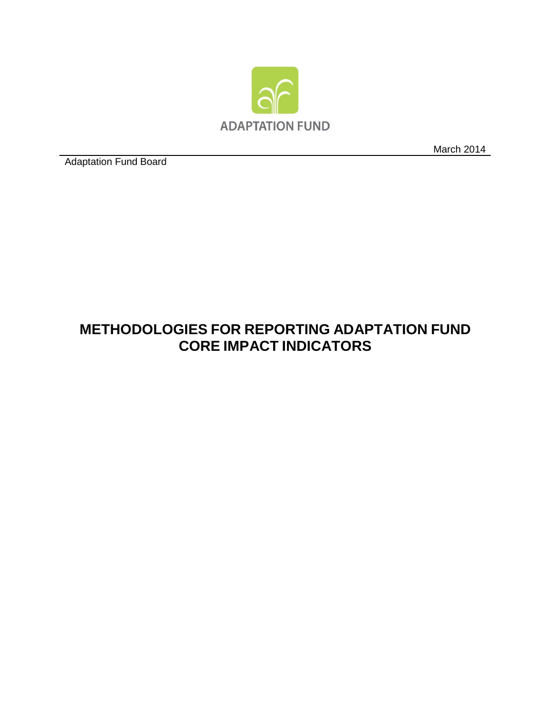

March 2014

Adaptation Fund Board

## **METHODOLOGIES FOR REPORTING ADAPTATION FUND CORE IMPACT INDICATORS**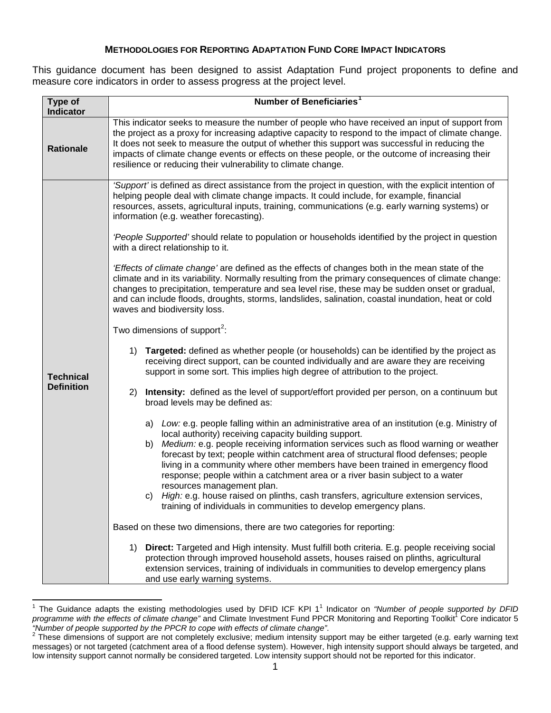## **METHODOLOGIES FOR REPORTING ADAPTATION FUND CORE IMPACT INDICATORS**

This guidance document has been designed to assist Adaptation Fund project proponents to define and measure core indicators in order to assess progress at the project level.

| Type of                               | Number of Beneficiaries <sup>1</sup>                                                                                                                                                                                                                                                                                                                                                                                                                                                                                                                                                                                                                                                                       |  |  |  |  |  |  |  |  |  |
|---------------------------------------|------------------------------------------------------------------------------------------------------------------------------------------------------------------------------------------------------------------------------------------------------------------------------------------------------------------------------------------------------------------------------------------------------------------------------------------------------------------------------------------------------------------------------------------------------------------------------------------------------------------------------------------------------------------------------------------------------------|--|--|--|--|--|--|--|--|--|
| <b>Indicator</b>                      |                                                                                                                                                                                                                                                                                                                                                                                                                                                                                                                                                                                                                                                                                                            |  |  |  |  |  |  |  |  |  |
| <b>Rationale</b>                      | This indicator seeks to measure the number of people who have received an input of support from<br>the project as a proxy for increasing adaptive capacity to respond to the impact of climate change.<br>It does not seek to measure the output of whether this support was successful in reducing the<br>impacts of climate change events or effects on these people, or the outcome of increasing their<br>resilience or reducing their vulnerability to climate change.                                                                                                                                                                                                                                |  |  |  |  |  |  |  |  |  |
|                                       | 'Support' is defined as direct assistance from the project in question, with the explicit intention of<br>helping people deal with climate change impacts. It could include, for example, financial<br>resources, assets, agricultural inputs, training, communications (e.g. early warning systems) or<br>information (e.g. weather forecasting).                                                                                                                                                                                                                                                                                                                                                         |  |  |  |  |  |  |  |  |  |
|                                       | 'People Supported' should relate to population or households identified by the project in question<br>with a direct relationship to it.                                                                                                                                                                                                                                                                                                                                                                                                                                                                                                                                                                    |  |  |  |  |  |  |  |  |  |
|                                       | <i>'Effects of climate change'</i> are defined as the effects of changes both in the mean state of the<br>climate and in its variability. Normally resulting from the primary consequences of climate change:<br>changes to precipitation, temperature and sea level rise, these may be sudden onset or gradual,<br>and can include floods, droughts, storms, landslides, salination, coastal inundation, heat or cold<br>waves and biodiversity loss.                                                                                                                                                                                                                                                     |  |  |  |  |  |  |  |  |  |
|                                       | Two dimensions of support <sup>2</sup> :                                                                                                                                                                                                                                                                                                                                                                                                                                                                                                                                                                                                                                                                   |  |  |  |  |  |  |  |  |  |
| <b>Technical</b><br><b>Definition</b> | Targeted: defined as whether people (or households) can be identified by the project as<br>1)<br>receiving direct support, can be counted individually and are aware they are receiving<br>support in some sort. This implies high degree of attribution to the project.                                                                                                                                                                                                                                                                                                                                                                                                                                   |  |  |  |  |  |  |  |  |  |
|                                       | Intensity: defined as the level of support/effort provided per person, on a continuum but<br>2)<br>broad levels may be defined as:                                                                                                                                                                                                                                                                                                                                                                                                                                                                                                                                                                         |  |  |  |  |  |  |  |  |  |
|                                       | a) Low: e.g. people falling within an administrative area of an institution (e.g. Ministry of<br>local authority) receiving capacity building support.<br>Medium: e.g. people receiving information services such as flood warning or weather<br>b)<br>forecast by text; people within catchment area of structural flood defenses; people<br>living in a community where other members have been trained in emergency flood<br>response; people within a catchment area or a river basin subject to a water<br>resources management plan.<br>c) High: e.g. house raised on plinths, cash transfers, agriculture extension services,<br>training of individuals in communities to develop emergency plans. |  |  |  |  |  |  |  |  |  |
|                                       | Based on these two dimensions, there are two categories for reporting:                                                                                                                                                                                                                                                                                                                                                                                                                                                                                                                                                                                                                                     |  |  |  |  |  |  |  |  |  |
|                                       | Direct: Targeted and High intensity. Must fulfill both criteria. E.g. people receiving social<br>1)<br>protection through improved household assets, houses raised on plinths, agricultural<br>extension services, training of individuals in communities to develop emergency plans<br>and use early warning systems.                                                                                                                                                                                                                                                                                                                                                                                     |  |  |  |  |  |  |  |  |  |

<span id="page-1-0"></span><sup>&</sup>lt;sup>1</sup> The Guidance adapts the existing methodologies used by DFID ICF KPI 1<sup>1</sup> Indicator on "Number of people supported by DFID programme with the effects of climate change" and Climate Investment Fund PPCR Monitoring and Reporting Toolkit<sup>1</sup> Core indicator 5<br>"Number of people supported by the PPCR to cope with effects of climate change".

<span id="page-1-1"></span>*<sup>&</sup>quot;Number of people supported by the PPCR to cope with effects of climate change"*. 2 These dimensions of support are not completely exclusive; medium intensity support may be either targeted (e.g. early warning text messages) or not targeted (catchment area of a flood defense system). However, high intensity support should always be targeted, and low intensity support cannot normally be considered targeted. Low intensity support should not be reported for this indicator.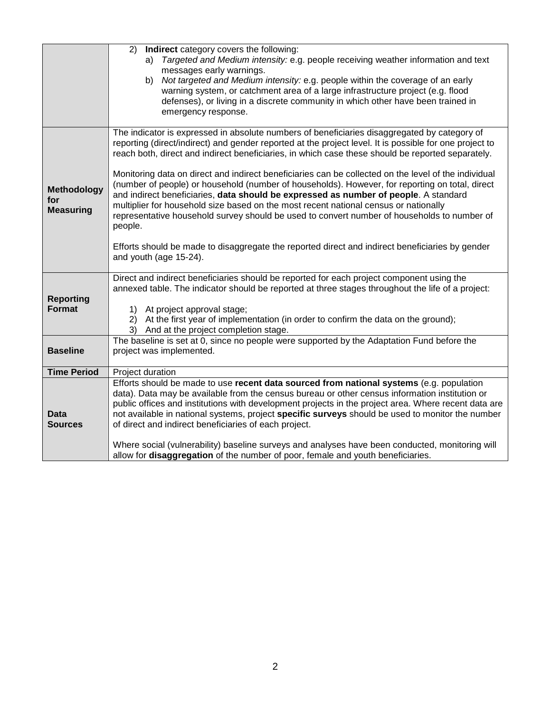|                           | 2) Indirect category covers the following:                                                                                                                                                               |  |  |  |  |  |  |  |
|---------------------------|----------------------------------------------------------------------------------------------------------------------------------------------------------------------------------------------------------|--|--|--|--|--|--|--|
|                           | Targeted and Medium intensity: e.g. people receiving weather information and text<br>a)                                                                                                                  |  |  |  |  |  |  |  |
|                           | messages early warnings.                                                                                                                                                                                 |  |  |  |  |  |  |  |
|                           | b) Not targeted and Medium intensity: e.g. people within the coverage of an early                                                                                                                        |  |  |  |  |  |  |  |
|                           | warning system, or catchment area of a large infrastructure project (e.g. flood                                                                                                                          |  |  |  |  |  |  |  |
|                           | defenses), or living in a discrete community in which other have been trained in                                                                                                                         |  |  |  |  |  |  |  |
|                           | emergency response.                                                                                                                                                                                      |  |  |  |  |  |  |  |
|                           | The indicator is expressed in absolute numbers of beneficiaries disaggregated by category of                                                                                                             |  |  |  |  |  |  |  |
|                           | reporting (direct/indirect) and gender reported at the project level. It is possible for one project to                                                                                                  |  |  |  |  |  |  |  |
|                           | reach both, direct and indirect beneficiaries, in which case these should be reported separately.                                                                                                        |  |  |  |  |  |  |  |
|                           | Monitoring data on direct and indirect beneficiaries can be collected on the level of the individual                                                                                                     |  |  |  |  |  |  |  |
|                           | (number of people) or household (number of households). However, for reporting on total, direct                                                                                                          |  |  |  |  |  |  |  |
| <b>Methodology</b><br>for | and indirect beneficiaries, data should be expressed as number of people. A standard                                                                                                                     |  |  |  |  |  |  |  |
| <b>Measuring</b>          | multiplier for household size based on the most recent national census or nationally                                                                                                                     |  |  |  |  |  |  |  |
|                           | representative household survey should be used to convert number of households to number of                                                                                                              |  |  |  |  |  |  |  |
|                           | people.                                                                                                                                                                                                  |  |  |  |  |  |  |  |
|                           |                                                                                                                                                                                                          |  |  |  |  |  |  |  |
|                           | Efforts should be made to disaggregate the reported direct and indirect beneficiaries by gender<br>and youth (age 15-24).                                                                                |  |  |  |  |  |  |  |
|                           |                                                                                                                                                                                                          |  |  |  |  |  |  |  |
|                           | Direct and indirect beneficiaries should be reported for each project component using the                                                                                                                |  |  |  |  |  |  |  |
|                           | annexed table. The indicator should be reported at three stages throughout the life of a project:                                                                                                        |  |  |  |  |  |  |  |
| <b>Reporting</b>          |                                                                                                                                                                                                          |  |  |  |  |  |  |  |
| <b>Format</b>             | At project approval stage;<br>1)                                                                                                                                                                         |  |  |  |  |  |  |  |
|                           | 2) At the first year of implementation (in order to confirm the data on the ground);<br>3) And at the project completion stage.                                                                          |  |  |  |  |  |  |  |
|                           | The baseline is set at 0, since no people were supported by the Adaptation Fund before the                                                                                                               |  |  |  |  |  |  |  |
| <b>Baseline</b>           | project was implemented.                                                                                                                                                                                 |  |  |  |  |  |  |  |
|                           |                                                                                                                                                                                                          |  |  |  |  |  |  |  |
| <b>Time Period</b>        | Project duration                                                                                                                                                                                         |  |  |  |  |  |  |  |
|                           | Efforts should be made to use recent data sourced from national systems (e.g. population                                                                                                                 |  |  |  |  |  |  |  |
|                           | data). Data may be available from the census bureau or other census information institution or                                                                                                           |  |  |  |  |  |  |  |
| <b>Data</b>               | public offices and institutions with development projects in the project area. Where recent data are<br>not available in national systems, project specific surveys should be used to monitor the number |  |  |  |  |  |  |  |
| <b>Sources</b>            | of direct and indirect beneficiaries of each project.                                                                                                                                                    |  |  |  |  |  |  |  |
|                           |                                                                                                                                                                                                          |  |  |  |  |  |  |  |
|                           | Where social (vulnerability) baseline surveys and analyses have been conducted, monitoring will                                                                                                          |  |  |  |  |  |  |  |
|                           | allow for disaggregation of the number of poor, female and youth beneficiaries.                                                                                                                          |  |  |  |  |  |  |  |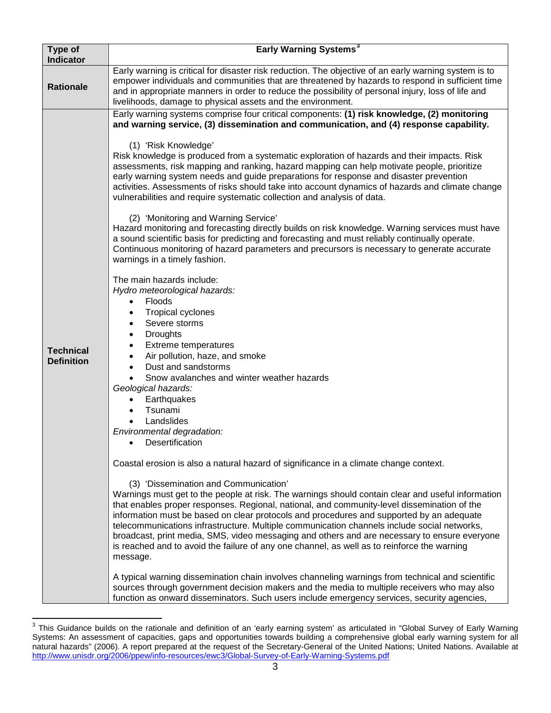| Type of<br><b>Indicator</b>           | Early Warning Systems <sup>3</sup>                                                                                                                                                                                                                                                                                                                                                                                                                                                                                                                                                                                                                                                                                                                                                                                                                                                                                                                                                                                                                                                                                                                                                                                                                                                                                                                                                                                                                                                                                                                                                                                                                                                                                                                                                                                                                                                                                                                                                                                                                                                                                                                                                                                                                                                                                                                                                                                                                                                                                                  |
|---------------------------------------|-------------------------------------------------------------------------------------------------------------------------------------------------------------------------------------------------------------------------------------------------------------------------------------------------------------------------------------------------------------------------------------------------------------------------------------------------------------------------------------------------------------------------------------------------------------------------------------------------------------------------------------------------------------------------------------------------------------------------------------------------------------------------------------------------------------------------------------------------------------------------------------------------------------------------------------------------------------------------------------------------------------------------------------------------------------------------------------------------------------------------------------------------------------------------------------------------------------------------------------------------------------------------------------------------------------------------------------------------------------------------------------------------------------------------------------------------------------------------------------------------------------------------------------------------------------------------------------------------------------------------------------------------------------------------------------------------------------------------------------------------------------------------------------------------------------------------------------------------------------------------------------------------------------------------------------------------------------------------------------------------------------------------------------------------------------------------------------------------------------------------------------------------------------------------------------------------------------------------------------------------------------------------------------------------------------------------------------------------------------------------------------------------------------------------------------------------------------------------------------------------------------------------------------|
| <b>Rationale</b>                      | Early warning is critical for disaster risk reduction. The objective of an early warning system is to<br>empower individuals and communities that are threatened by hazards to respond in sufficient time<br>and in appropriate manners in order to reduce the possibility of personal injury, loss of life and<br>livelihoods, damage to physical assets and the environment.                                                                                                                                                                                                                                                                                                                                                                                                                                                                                                                                                                                                                                                                                                                                                                                                                                                                                                                                                                                                                                                                                                                                                                                                                                                                                                                                                                                                                                                                                                                                                                                                                                                                                                                                                                                                                                                                                                                                                                                                                                                                                                                                                      |
| <b>Technical</b><br><b>Definition</b> | Early warning systems comprise four critical components: (1) risk knowledge, (2) monitoring<br>and warning service, (3) dissemination and communication, and (4) response capability.<br>(1) 'Risk Knowledge'<br>Risk knowledge is produced from a systematic exploration of hazards and their impacts. Risk<br>assessments, risk mapping and ranking, hazard mapping can help motivate people, prioritize<br>early warning system needs and guide preparations for response and disaster prevention<br>activities. Assessments of risks should take into account dynamics of hazards and climate change<br>vulnerabilities and require systematic collection and analysis of data.<br>(2) 'Monitoring and Warning Service'<br>Hazard monitoring and forecasting directly builds on risk knowledge. Warning services must have<br>a sound scientific basis for predicting and forecasting and must reliably continually operate.<br>Continuous monitoring of hazard parameters and precursors is necessary to generate accurate<br>warnings in a timely fashion.<br>The main hazards include:<br>Hydro meteorological hazards:<br>Floods<br><b>Tropical cyclones</b><br>Severe storms<br>٠<br><b>Droughts</b><br>$\bullet$<br><b>Extreme temperatures</b><br>٠<br>Air pollution, haze, and smoke<br>Dust and sandstorms<br>Snow avalanches and winter weather hazards<br>Geological hazards:<br>Earthquakes<br>Tsunami<br>Landslides<br>Environmental degradation:<br>Desertification<br>Coastal erosion is also a natural hazard of significance in a climate change context.<br>(3) 'Dissemination and Communication'<br>Warnings must get to the people at risk. The warnings should contain clear and useful information<br>that enables proper responses. Regional, national, and community-level dissemination of the<br>information must be based on clear protocols and procedures and supported by an adequate<br>telecommunications infrastructure. Multiple communication channels include social networks,<br>broadcast, print media, SMS, video messaging and others and are necessary to ensure everyone<br>is reached and to avoid the failure of any one channel, as well as to reinforce the warning<br>message.<br>A typical warning dissemination chain involves channeling warnings from technical and scientific<br>sources through government decision makers and the media to multiple receivers who may also<br>function as onward disseminators. Such users include emergency services, security agencies, |

<span id="page-3-0"></span><sup>3</sup> This Guidance builds on the rationale and definition of an 'early earning system' as articulated in "Global Survey of Early Warning Systems: An assessment of capacities, gaps and opportunities towards building a comprehensive global early warning system for all natural hazards" (2006). A report prepared at the request of the Secretary-General of the United Nations; United Nations. Available at <http://www.unisdr.org/2006/ppew/info-resources/ewc3/Global-Survey-of-Early-Warning-Systems.pdf>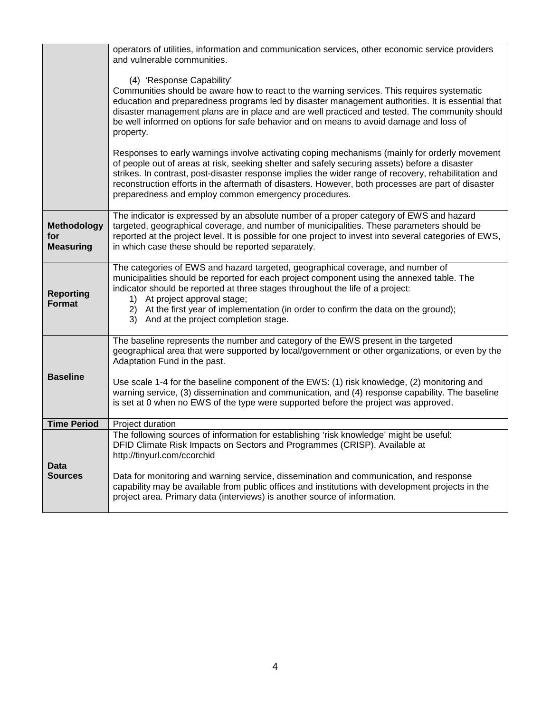|                                               | operators of utilities, information and communication services, other economic service providers<br>and vulnerable communities.                                                                                                                                                                                                                                                                                                                                                                                 |  |  |  |  |  |
|-----------------------------------------------|-----------------------------------------------------------------------------------------------------------------------------------------------------------------------------------------------------------------------------------------------------------------------------------------------------------------------------------------------------------------------------------------------------------------------------------------------------------------------------------------------------------------|--|--|--|--|--|
|                                               | (4) 'Response Capability'<br>Communities should be aware how to react to the warning services. This requires systematic<br>education and preparedness programs led by disaster management authorities. It is essential that<br>disaster management plans are in place and are well practiced and tested. The community should<br>be well informed on options for safe behavior and on means to avoid damage and loss of<br>property.                                                                            |  |  |  |  |  |
|                                               | Responses to early warnings involve activating coping mechanisms (mainly for orderly movement<br>of people out of areas at risk, seeking shelter and safely securing assets) before a disaster<br>strikes. In contrast, post-disaster response implies the wider range of recovery, rehabilitation and<br>reconstruction efforts in the aftermath of disasters. However, both processes are part of disaster<br>preparedness and employ common emergency procedures.                                            |  |  |  |  |  |
| <b>Methodology</b><br>for<br><b>Measuring</b> | The indicator is expressed by an absolute number of a proper category of EWS and hazard<br>targeted, geographical coverage, and number of municipalities. These parameters should be<br>reported at the project level. It is possible for one project to invest into several categories of EWS,<br>in which case these should be reported separately.                                                                                                                                                           |  |  |  |  |  |
| <b>Reporting</b><br><b>Format</b>             | The categories of EWS and hazard targeted, geographical coverage, and number of<br>municipalities should be reported for each project component using the annexed table. The<br>indicator should be reported at three stages throughout the life of a project:<br>At project approval stage;<br>1)<br>At the first year of implementation (in order to confirm the data on the ground);<br>2)<br>3) And at the project completion stage.                                                                        |  |  |  |  |  |
| <b>Baseline</b>                               | The baseline represents the number and category of the EWS present in the targeted<br>geographical area that were supported by local/government or other organizations, or even by the<br>Adaptation Fund in the past.<br>Use scale 1-4 for the baseline component of the EWS: (1) risk knowledge, (2) monitoring and<br>warning service, (3) dissemination and communication, and (4) response capability. The baseline<br>is set at 0 when no EWS of the type were supported before the project was approved. |  |  |  |  |  |
| <b>Time Period</b>                            | Project duration                                                                                                                                                                                                                                                                                                                                                                                                                                                                                                |  |  |  |  |  |
| Data<br><b>Sources</b>                        | The following sources of information for establishing 'risk knowledge' might be useful:<br>DFID Climate Risk Impacts on Sectors and Programmes (CRISP). Available at<br>http://tinyurl.com/ccorchid<br>Data for monitoring and warning service, dissemination and communication, and response<br>capability may be available from public offices and institutions with development projects in the<br>project area. Primary data (interviews) is another source of information.                                 |  |  |  |  |  |
|                                               |                                                                                                                                                                                                                                                                                                                                                                                                                                                                                                                 |  |  |  |  |  |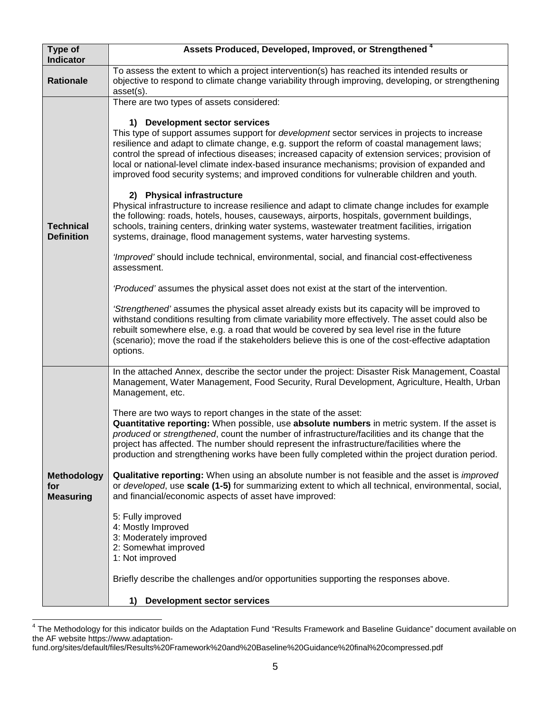| Type of<br><b>Indicator</b>                   | Assets Produced, Developed, Improved, or Strengthened <sup>4</sup>                                                                                                                                                                                                                                                                                                                                                                                                                                                                                                                                                                                                                                                                                                                                                                                                                                                                                                                                                                                                                                                                                                                                                                                                                                                                                                                                                                                                                                                                                                                                                            |  |  |  |  |  |
|-----------------------------------------------|-------------------------------------------------------------------------------------------------------------------------------------------------------------------------------------------------------------------------------------------------------------------------------------------------------------------------------------------------------------------------------------------------------------------------------------------------------------------------------------------------------------------------------------------------------------------------------------------------------------------------------------------------------------------------------------------------------------------------------------------------------------------------------------------------------------------------------------------------------------------------------------------------------------------------------------------------------------------------------------------------------------------------------------------------------------------------------------------------------------------------------------------------------------------------------------------------------------------------------------------------------------------------------------------------------------------------------------------------------------------------------------------------------------------------------------------------------------------------------------------------------------------------------------------------------------------------------------------------------------------------------|--|--|--|--|--|
| <b>Rationale</b>                              | To assess the extent to which a project intervention(s) has reached its intended results or<br>objective to respond to climate change variability through improving, developing, or strengthening<br>asset(s).                                                                                                                                                                                                                                                                                                                                                                                                                                                                                                                                                                                                                                                                                                                                                                                                                                                                                                                                                                                                                                                                                                                                                                                                                                                                                                                                                                                                                |  |  |  |  |  |
| <b>Technical</b><br><b>Definition</b>         | There are two types of assets considered:<br>1) Development sector services<br>This type of support assumes support for <i>development</i> sector services in projects to increase<br>resilience and adapt to climate change, e.g. support the reform of coastal management laws;<br>control the spread of infectious diseases; increased capacity of extension services; provision of<br>local or national-level climate index-based insurance mechanisms; provision of expanded and<br>improved food security systems; and improved conditions for vulnerable children and youth.<br>2) Physical infrastructure<br>Physical infrastructure to increase resilience and adapt to climate change includes for example<br>the following: roads, hotels, houses, causeways, airports, hospitals, government buildings,<br>schools, training centers, drinking water systems, wastewater treatment facilities, irrigation<br>systems, drainage, flood management systems, water harvesting systems.<br>'Improved' should include technical, environmental, social, and financial cost-effectiveness<br>assessment.<br>'Produced' assumes the physical asset does not exist at the start of the intervention.<br>'Strengthened' assumes the physical asset already exists but its capacity will be improved to<br>withstand conditions resulting from climate variability more effectively. The asset could also be<br>rebuilt somewhere else, e.g. a road that would be covered by sea level rise in the future<br>(scenario); move the road if the stakeholders believe this is one of the cost-effective adaptation<br>options. |  |  |  |  |  |
| <b>Methodology</b><br>for<br><b>Measuring</b> | In the attached Annex, describe the sector under the project: Disaster Risk Management, Coastal<br>Management, Water Management, Food Security, Rural Development, Agriculture, Health, Urban<br>Management, etc.<br>There are two ways to report changes in the state of the asset:<br>Quantitative reporting: When possible, use absolute numbers in metric system. If the asset is<br>produced or strengthened, count the number of infrastructure/facilities and its change that the<br>project has affected. The number should represent the infrastructure/facilities where the<br>production and strengthening works have been fully completed within the project duration period.<br>Qualitative reporting: When using an absolute number is not feasible and the asset is <i>improved</i><br>or developed, use scale (1-5) for summarizing extent to which all technical, environmental, social,<br>and financial/economic aspects of asset have improved:<br>5: Fully improved<br>4: Mostly Improved<br>3: Moderately improved<br>2: Somewhat improved<br>1: Not improved<br>Briefly describe the challenges and/or opportunities supporting the responses above.<br><b>Development sector services</b><br>1)                                                                                                                                                                                                                                                                                                                                                                                                       |  |  |  |  |  |

<span id="page-5-0"></span><sup>4</sup> The Methodology for this indicator builds on the Adaptation Fund "Results Framework and Baseline Guidance" document available on the AF website https://www.adaptation-

fund.org/sites/default/files/Results%20Framework%20and%20Baseline%20Guidance%20final%20compressed.pdf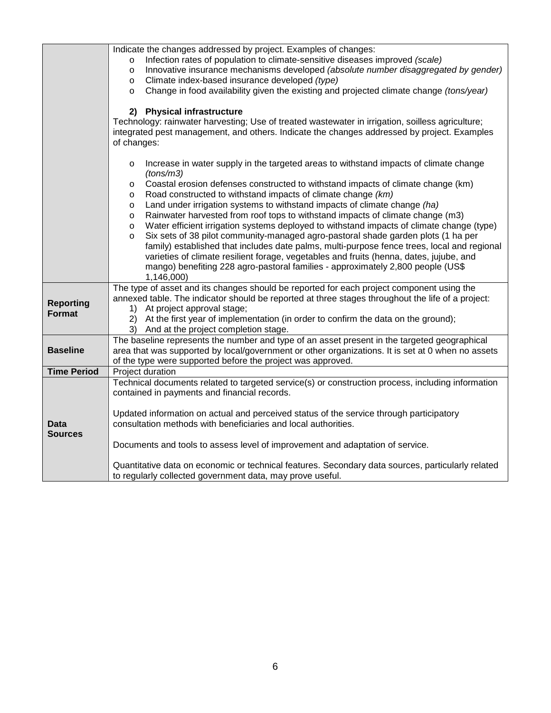|                    | Indicate the changes addressed by project. Examples of changes:                                                                                             |  |  |  |  |
|--------------------|-------------------------------------------------------------------------------------------------------------------------------------------------------------|--|--|--|--|
|                    | Infection rates of population to climate-sensitive diseases improved (scale)<br>$\circ$                                                                     |  |  |  |  |
|                    | Innovative insurance mechanisms developed (absolute number disaggregated by gender)<br>$\circ$<br>Climate index-based insurance developed (type)            |  |  |  |  |
|                    | $\circ$<br>Change in food availability given the existing and projected climate change (tons/year)<br>$\circ$                                               |  |  |  |  |
|                    |                                                                                                                                                             |  |  |  |  |
|                    | 2) Physical infrastructure                                                                                                                                  |  |  |  |  |
|                    | Technology: rainwater harvesting; Use of treated wastewater in irrigation, soilless agriculture;                                                            |  |  |  |  |
|                    | integrated pest management, and others. Indicate the changes addressed by project. Examples                                                                 |  |  |  |  |
|                    | of changes:                                                                                                                                                 |  |  |  |  |
|                    |                                                                                                                                                             |  |  |  |  |
|                    | Increase in water supply in the targeted areas to withstand impacts of climate change<br>$\circ$                                                            |  |  |  |  |
|                    | (tons/m3)                                                                                                                                                   |  |  |  |  |
|                    | Coastal erosion defenses constructed to withstand impacts of climate change (km)<br>$\circ$<br>Road constructed to withstand impacts of climate change (km) |  |  |  |  |
|                    | $\circ$<br>Land under irrigation systems to withstand impacts of climate change (ha)<br>$\circ$                                                             |  |  |  |  |
|                    | Rainwater harvested from roof tops to withstand impacts of climate change (m3)<br>$\circ$                                                                   |  |  |  |  |
|                    | Water efficient irrigation systems deployed to withstand impacts of climate change (type)<br>$\circ$                                                        |  |  |  |  |
|                    | Six sets of 38 pilot community-managed agro-pastoral shade garden plots (1 ha per<br>$\circ$                                                                |  |  |  |  |
|                    | family) established that includes date palms, multi-purpose fence trees, local and regional                                                                 |  |  |  |  |
|                    | varieties of climate resilient forage, vegetables and fruits (henna, dates, jujube, and                                                                     |  |  |  |  |
|                    | mango) benefiting 228 agro-pastoral families - approximately 2,800 people (US\$                                                                             |  |  |  |  |
|                    | 1,146,000)                                                                                                                                                  |  |  |  |  |
|                    | The type of asset and its changes should be reported for each project component using the                                                                   |  |  |  |  |
| <b>Reporting</b>   | annexed table. The indicator should be reported at three stages throughout the life of a project:<br>1) At project approval stage;                          |  |  |  |  |
| <b>Format</b>      | At the first year of implementation (in order to confirm the data on the ground);<br>2)                                                                     |  |  |  |  |
|                    | 3)<br>And at the project completion stage.                                                                                                                  |  |  |  |  |
|                    | The baseline represents the number and type of an asset present in the targeted geographical                                                                |  |  |  |  |
| <b>Baseline</b>    | area that was supported by local/government or other organizations. It is set at 0 when no assets                                                           |  |  |  |  |
|                    | of the type were supported before the project was approved.                                                                                                 |  |  |  |  |
| <b>Time Period</b> | Project duration                                                                                                                                            |  |  |  |  |
|                    | Technical documents related to targeted service(s) or construction process, including information                                                           |  |  |  |  |
|                    | contained in payments and financial records.                                                                                                                |  |  |  |  |
|                    |                                                                                                                                                             |  |  |  |  |
| Data               | Updated information on actual and perceived status of the service through participatory<br>consultation methods with beneficiaries and local authorities.   |  |  |  |  |
| <b>Sources</b>     |                                                                                                                                                             |  |  |  |  |
|                    | Documents and tools to assess level of improvement and adaptation of service.                                                                               |  |  |  |  |
|                    |                                                                                                                                                             |  |  |  |  |
|                    | Quantitative data on economic or technical features. Secondary data sources, particularly related                                                           |  |  |  |  |
|                    | to regularly collected government data, may prove useful.                                                                                                   |  |  |  |  |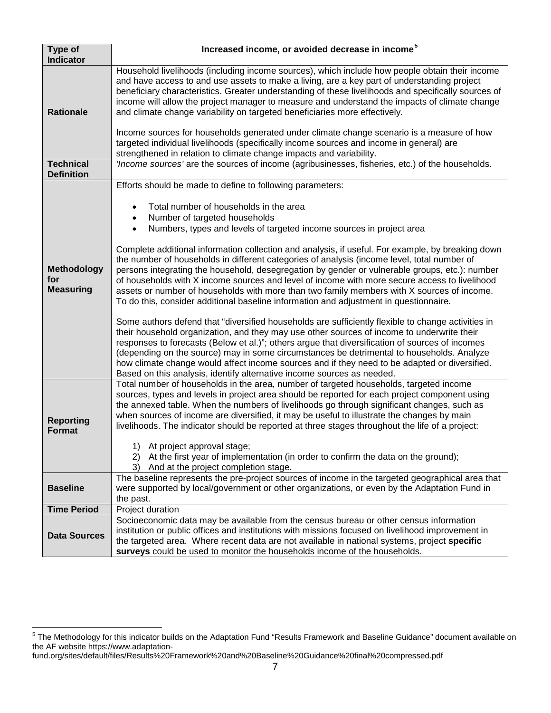| Type of<br><b>Indicator</b>                   | Increased income, or avoided decrease in income <sup>5</sup>                                                                                                                                                                                                                                                                                                                                                                                                                                                                                                                                                                                                                                                                                                                                                                                                                                                                                                                                                                                                                                                                                                                                                                |  |  |  |  |  |  |  |
|-----------------------------------------------|-----------------------------------------------------------------------------------------------------------------------------------------------------------------------------------------------------------------------------------------------------------------------------------------------------------------------------------------------------------------------------------------------------------------------------------------------------------------------------------------------------------------------------------------------------------------------------------------------------------------------------------------------------------------------------------------------------------------------------------------------------------------------------------------------------------------------------------------------------------------------------------------------------------------------------------------------------------------------------------------------------------------------------------------------------------------------------------------------------------------------------------------------------------------------------------------------------------------------------|--|--|--|--|--|--|--|
| <b>Rationale</b>                              | Household livelihoods (including income sources), which include how people obtain their income<br>and have access to and use assets to make a living, are a key part of understanding project<br>beneficiary characteristics. Greater understanding of these livelihoods and specifically sources of<br>income will allow the project manager to measure and understand the impacts of climate change<br>and climate change variability on targeted beneficiaries more effectively.<br>Income sources for households generated under climate change scenario is a measure of how<br>targeted individual livelihoods (specifically income sources and income in general) are<br>strengthened in relation to climate change impacts and variability.                                                                                                                                                                                                                                                                                                                                                                                                                                                                          |  |  |  |  |  |  |  |
| <b>Technical</b><br><b>Definition</b>         | 'Income sources' are the sources of income (agribusinesses, fisheries, etc.) of the households.                                                                                                                                                                                                                                                                                                                                                                                                                                                                                                                                                                                                                                                                                                                                                                                                                                                                                                                                                                                                                                                                                                                             |  |  |  |  |  |  |  |
| <b>Methodology</b><br>for<br><b>Measuring</b> | Efforts should be made to define to following parameters:<br>Total number of households in the area<br>Number of targeted households<br>Numbers, types and levels of targeted income sources in project area<br>$\bullet$<br>Complete additional information collection and analysis, if useful. For example, by breaking down<br>the number of households in different categories of analysis (income level, total number of<br>persons integrating the household, desegregation by gender or vulnerable groups, etc.): number<br>of households with X income sources and level of income with more secure access to livelihood<br>assets or number of households with more than two family members with X sources of income.<br>To do this, consider additional baseline information and adjustment in questionnaire.<br>Some authors defend that "diversified households are sufficiently flexible to change activities in<br>their household organization, and they may use other sources of income to underwrite their<br>responses to forecasts (Below et al.)"; others argue that diversification of sources of incomes<br>(depending on the source) may in some circumstances be detrimental to households. Analyze |  |  |  |  |  |  |  |
|                                               | how climate change would affect income sources and if they need to be adapted or diversified.<br>Based on this analysis, identify alternative income sources as needed.<br>Total number of households in the area, number of targeted households, targeted income                                                                                                                                                                                                                                                                                                                                                                                                                                                                                                                                                                                                                                                                                                                                                                                                                                                                                                                                                           |  |  |  |  |  |  |  |
| <b>Reporting</b><br><b>Format</b>             | sources, types and levels in project area should be reported for each project component using<br>the annexed table. When the numbers of livelihoods go through significant changes, such as<br>when sources of income are diversified, it may be useful to illustrate the changes by main<br>livelihoods. The indicator should be reported at three stages throughout the life of a project:<br>1) At project approval stage;                                                                                                                                                                                                                                                                                                                                                                                                                                                                                                                                                                                                                                                                                                                                                                                               |  |  |  |  |  |  |  |
|                                               | 2) At the first year of implementation (in order to confirm the data on the ground);<br>3) And at the project completion stage.                                                                                                                                                                                                                                                                                                                                                                                                                                                                                                                                                                                                                                                                                                                                                                                                                                                                                                                                                                                                                                                                                             |  |  |  |  |  |  |  |
| <b>Baseline</b>                               | The baseline represents the pre-project sources of income in the targeted geographical area that<br>were supported by local/government or other organizations, or even by the Adaptation Fund in<br>the past.                                                                                                                                                                                                                                                                                                                                                                                                                                                                                                                                                                                                                                                                                                                                                                                                                                                                                                                                                                                                               |  |  |  |  |  |  |  |
| <b>Time Period</b>                            | Project duration                                                                                                                                                                                                                                                                                                                                                                                                                                                                                                                                                                                                                                                                                                                                                                                                                                                                                                                                                                                                                                                                                                                                                                                                            |  |  |  |  |  |  |  |
| <b>Data Sources</b>                           | Socioeconomic data may be available from the census bureau or other census information<br>institution or public offices and institutions with missions focused on livelihood improvement in<br>the targeted area. Where recent data are not available in national systems, project specific<br>surveys could be used to monitor the households income of the households.                                                                                                                                                                                                                                                                                                                                                                                                                                                                                                                                                                                                                                                                                                                                                                                                                                                    |  |  |  |  |  |  |  |

<span id="page-7-0"></span><sup>5</sup> The Methodology for this indicator builds on the Adaptation Fund "Results Framework and Baseline Guidance" document available on the AF website https://www.adaptation-

fund.org/sites/default/files/Results%20Framework%20and%20Baseline%20Guidance%20final%20compressed.pdf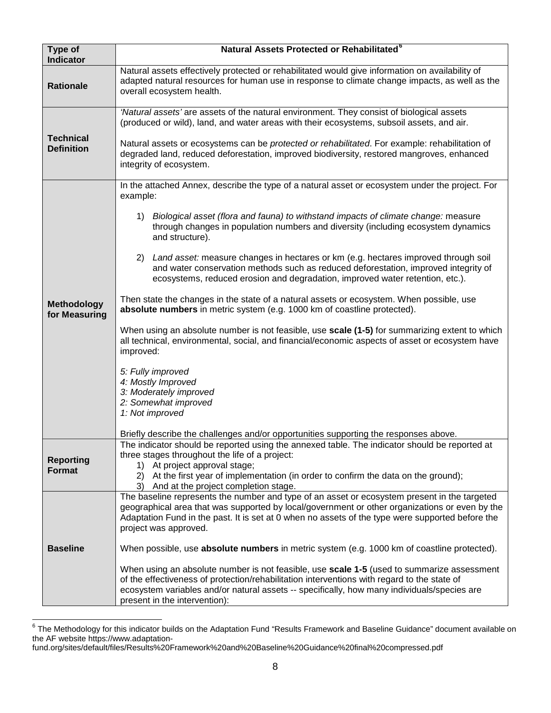| Type of<br><b>Indicator</b>           | Natural Assets Protected or Rehabilitated <sup>6</sup>                                                                                                                                                                                                                                                                    |
|---------------------------------------|---------------------------------------------------------------------------------------------------------------------------------------------------------------------------------------------------------------------------------------------------------------------------------------------------------------------------|
| <b>Rationale</b>                      | Natural assets effectively protected or rehabilitated would give information on availability of<br>adapted natural resources for human use in response to climate change impacts, as well as the<br>overall ecosystem health.                                                                                             |
|                                       | 'Natural assets' are assets of the natural environment. They consist of biological assets<br>(produced or wild), land, and water areas with their ecosystems, subsoil assets, and air.                                                                                                                                    |
| <b>Technical</b><br><b>Definition</b> | Natural assets or ecosystems can be protected or rehabilitated. For example: rehabilitation of<br>degraded land, reduced deforestation, improved biodiversity, restored mangroves, enhanced<br>integrity of ecosystem.                                                                                                    |
|                                       | In the attached Annex, describe the type of a natural asset or ecosystem under the project. For<br>example:                                                                                                                                                                                                               |
|                                       | 1) Biological asset (flora and fauna) to withstand impacts of climate change: measure<br>through changes in population numbers and diversity (including ecosystem dynamics<br>and structure).                                                                                                                             |
|                                       | 2) Land asset: measure changes in hectares or km (e.g. hectares improved through soil<br>and water conservation methods such as reduced deforestation, improved integrity of<br>ecosystems, reduced erosion and degradation, improved water retention, etc.).                                                             |
| <b>Methodology</b><br>for Measuring   | Then state the changes in the state of a natural assets or ecosystem. When possible, use<br>absolute numbers in metric system (e.g. 1000 km of coastline protected).                                                                                                                                                      |
|                                       | When using an absolute number is not feasible, use scale (1-5) for summarizing extent to which<br>all technical, environmental, social, and financial/economic aspects of asset or ecosystem have<br>improved:                                                                                                            |
|                                       | 5: Fully improved                                                                                                                                                                                                                                                                                                         |
|                                       | 4: Mostly Improved<br>3: Moderately improved                                                                                                                                                                                                                                                                              |
|                                       | 2: Somewhat improved<br>1: Not improved                                                                                                                                                                                                                                                                                   |
|                                       | Briefly describe the challenges and/or opportunities supporting the responses above.                                                                                                                                                                                                                                      |
|                                       | The indicator should be reported using the annexed table. The indicator should be reported at<br>three stages throughout the life of a project:                                                                                                                                                                           |
| <b>Reporting</b><br><b>Format</b>     | 1) At project approval stage;                                                                                                                                                                                                                                                                                             |
|                                       | 2) At the first year of implementation (in order to confirm the data on the ground);<br>3) And at the project completion stage.                                                                                                                                                                                           |
|                                       | The baseline represents the number and type of an asset or ecosystem present in the targeted<br>geographical area that was supported by local/government or other organizations or even by the                                                                                                                            |
|                                       | Adaptation Fund in the past. It is set at 0 when no assets of the type were supported before the<br>project was approved.                                                                                                                                                                                                 |
| <b>Baseline</b>                       | When possible, use absolute numbers in metric system (e.g. 1000 km of coastline protected).                                                                                                                                                                                                                               |
|                                       | When using an absolute number is not feasible, use scale 1-5 (used to summarize assessment<br>of the effectiveness of protection/rehabilitation interventions with regard to the state of<br>ecosystem variables and/or natural assets -- specifically, how many individuals/species are<br>present in the intervention): |

<span id="page-8-0"></span><sup>6</sup> The Methodology for this indicator builds on the Adaptation Fund "Results Framework and Baseline Guidance" document available on the AF website https://www.adaptation-

fund.org/sites/default/files/Results%20Framework%20and%20Baseline%20Guidance%20final%20compressed.pdf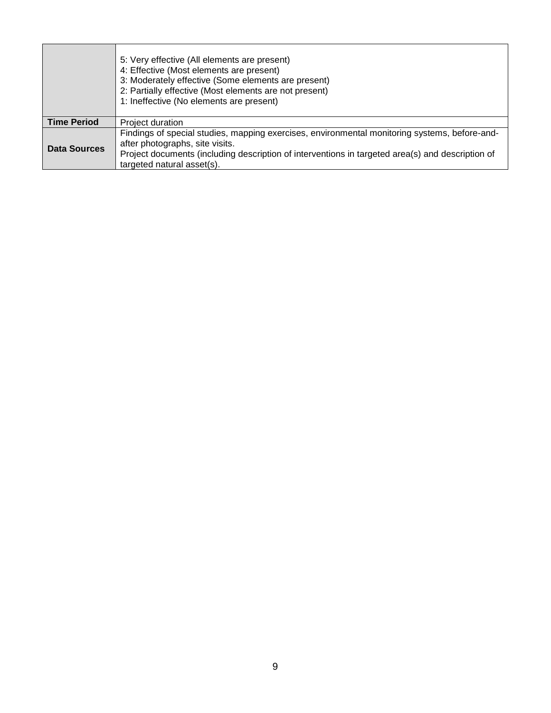|                    | 5: Very effective (All elements are present)<br>4: Effective (Most elements are present)<br>3: Moderately effective (Some elements are present)<br>2: Partially effective (Most elements are not present)<br>1: Ineffective (No elements are present)              |
|--------------------|--------------------------------------------------------------------------------------------------------------------------------------------------------------------------------------------------------------------------------------------------------------------|
| <b>Time Period</b> | Project duration                                                                                                                                                                                                                                                   |
| Data Sources       | Findings of special studies, mapping exercises, environmental monitoring systems, before-and-<br>after photographs, site visits.<br>Project documents (including description of interventions in targeted area(s) and description of<br>targeted natural asset(s). |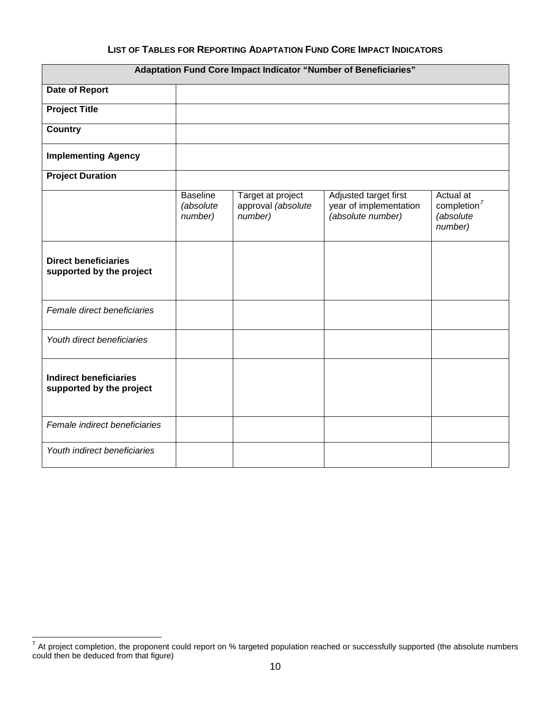## **LIST OF TABLES FOR REPORTING ADAPTATION FUND CORE IMPACT INDICATORS**

| <b>Adaptation Fund Core Impact Indicator "Number of Beneficiaries"</b> |                                         |                                                    |                                                                      |                                                              |  |
|------------------------------------------------------------------------|-----------------------------------------|----------------------------------------------------|----------------------------------------------------------------------|--------------------------------------------------------------|--|
| Date of Report                                                         |                                         |                                                    |                                                                      |                                                              |  |
| <b>Project Title</b>                                                   |                                         |                                                    |                                                                      |                                                              |  |
| <b>Country</b>                                                         |                                         |                                                    |                                                                      |                                                              |  |
| <b>Implementing Agency</b>                                             |                                         |                                                    |                                                                      |                                                              |  |
| <b>Project Duration</b>                                                |                                         |                                                    |                                                                      |                                                              |  |
|                                                                        | <b>Baseline</b><br>(absolute<br>number) | Target at project<br>approval (absolute<br>number) | Adjusted target first<br>year of implementation<br>(absolute number) | Actual at<br>completion <sup>7</sup><br>(absolute<br>number) |  |
| <b>Direct beneficiaries</b><br>supported by the project                |                                         |                                                    |                                                                      |                                                              |  |
| Female direct beneficiaries                                            |                                         |                                                    |                                                                      |                                                              |  |
| Youth direct beneficiaries                                             |                                         |                                                    |                                                                      |                                                              |  |
| <b>Indirect beneficiaries</b><br>supported by the project              |                                         |                                                    |                                                                      |                                                              |  |
| Female indirect beneficiaries                                          |                                         |                                                    |                                                                      |                                                              |  |
| Youth indirect beneficiaries                                           |                                         |                                                    |                                                                      |                                                              |  |

<span id="page-10-0"></span><sup>7</sup> At project completion, the proponent could report on % targeted population reached or successfully supported (the absolute numbers could then be deduced from that figure)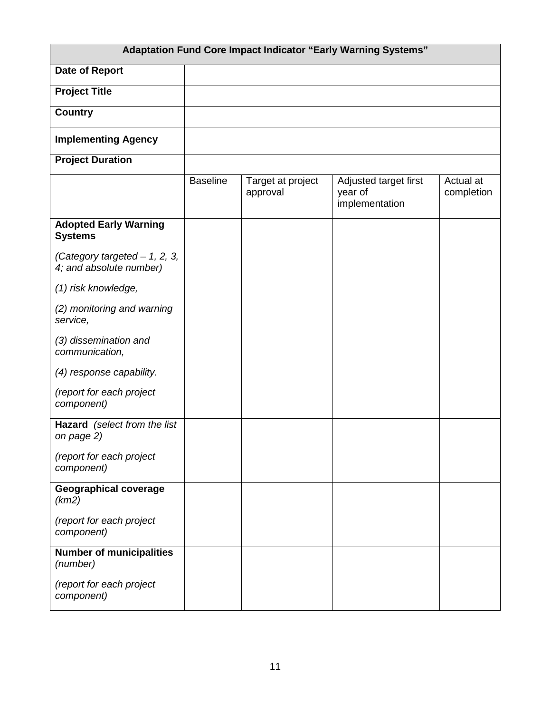| <b>Adaptation Fund Core Impact Indicator "Early Warning Systems"</b> |                 |                               |                                                    |                         |  |
|----------------------------------------------------------------------|-----------------|-------------------------------|----------------------------------------------------|-------------------------|--|
| <b>Date of Report</b>                                                |                 |                               |                                                    |                         |  |
| <b>Project Title</b>                                                 |                 |                               |                                                    |                         |  |
| <b>Country</b>                                                       |                 |                               |                                                    |                         |  |
| <b>Implementing Agency</b>                                           |                 |                               |                                                    |                         |  |
| <b>Project Duration</b>                                              |                 |                               |                                                    |                         |  |
|                                                                      | <b>Baseline</b> | Target at project<br>approval | Adjusted target first<br>year of<br>implementation | Actual at<br>completion |  |
| <b>Adopted Early Warning</b><br><b>Systems</b>                       |                 |                               |                                                    |                         |  |
| (Category targeted $-1$ , 2, 3,<br>4; and absolute number)           |                 |                               |                                                    |                         |  |
| (1) risk knowledge,                                                  |                 |                               |                                                    |                         |  |
| (2) monitoring and warning<br>service,                               |                 |                               |                                                    |                         |  |
| (3) dissemination and<br>communication,                              |                 |                               |                                                    |                         |  |
| (4) response capability.                                             |                 |                               |                                                    |                         |  |
| (report for each project<br>component)                               |                 |                               |                                                    |                         |  |
| Hazard (select from the list<br>on page 2)                           |                 |                               |                                                    |                         |  |
| (report for each project<br>component)                               |                 |                               |                                                    |                         |  |
| <b>Geographical coverage</b><br>(km2)                                |                 |                               |                                                    |                         |  |
| (report for each project<br>component)                               |                 |                               |                                                    |                         |  |
| <b>Number of municipalities</b><br>(number)                          |                 |                               |                                                    |                         |  |
| (report for each project<br>component)                               |                 |                               |                                                    |                         |  |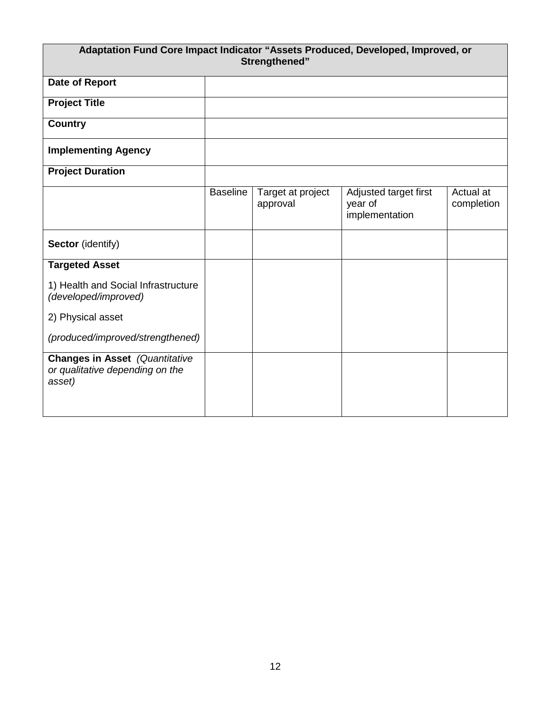| Adaptation Fund Core Impact Indicator "Assets Produced, Developed, Improved, or<br>Strengthened" |                 |                               |                                                    |                         |
|--------------------------------------------------------------------------------------------------|-----------------|-------------------------------|----------------------------------------------------|-------------------------|
| Date of Report                                                                                   |                 |                               |                                                    |                         |
| <b>Project Title</b>                                                                             |                 |                               |                                                    |                         |
| <b>Country</b>                                                                                   |                 |                               |                                                    |                         |
| <b>Implementing Agency</b>                                                                       |                 |                               |                                                    |                         |
| <b>Project Duration</b>                                                                          |                 |                               |                                                    |                         |
|                                                                                                  | <b>Baseline</b> | Target at project<br>approval | Adjusted target first<br>year of<br>implementation | Actual at<br>completion |
| Sector (identify)                                                                                |                 |                               |                                                    |                         |
| <b>Targeted Asset</b>                                                                            |                 |                               |                                                    |                         |
| 1) Health and Social Infrastructure<br>(developed/improved)                                      |                 |                               |                                                    |                         |
| 2) Physical asset                                                                                |                 |                               |                                                    |                         |
| (produced/improved/strengthened)                                                                 |                 |                               |                                                    |                         |
| <b>Changes in Asset</b> (Quantitative<br>or qualitative depending on the<br>asset)               |                 |                               |                                                    |                         |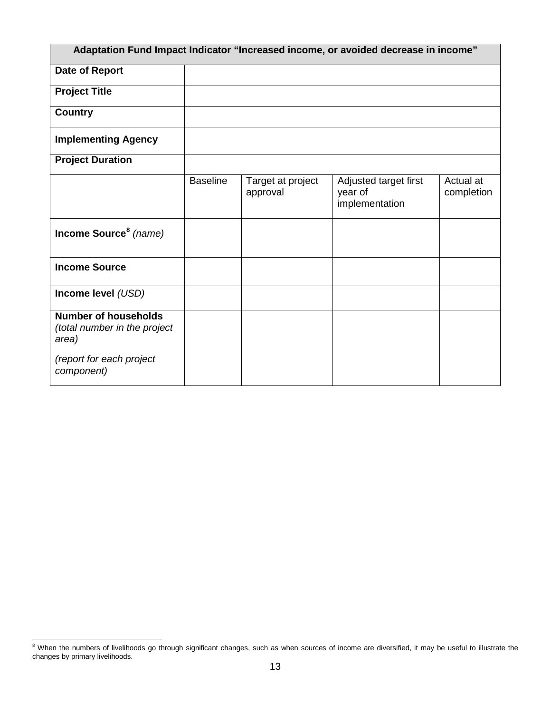| Adaptation Fund Impact Indicator "Increased income, or avoided decrease in income" |                 |                               |                                                    |                         |  |  |
|------------------------------------------------------------------------------------|-----------------|-------------------------------|----------------------------------------------------|-------------------------|--|--|
| Date of Report                                                                     |                 |                               |                                                    |                         |  |  |
| <b>Project Title</b>                                                               |                 |                               |                                                    |                         |  |  |
| <b>Country</b>                                                                     |                 |                               |                                                    |                         |  |  |
| <b>Implementing Agency</b>                                                         |                 |                               |                                                    |                         |  |  |
| <b>Project Duration</b>                                                            |                 |                               |                                                    |                         |  |  |
|                                                                                    | <b>Baseline</b> | Target at project<br>approval | Adjusted target first<br>year of<br>implementation | Actual at<br>completion |  |  |
| Income Source <sup>8</sup> (name)                                                  |                 |                               |                                                    |                         |  |  |
| <b>Income Source</b>                                                               |                 |                               |                                                    |                         |  |  |
| Income level (USD)                                                                 |                 |                               |                                                    |                         |  |  |
| <b>Number of households</b><br>(total number in the project<br>area)               |                 |                               |                                                    |                         |  |  |
| (report for each project<br>component)                                             |                 |                               |                                                    |                         |  |  |

<span id="page-13-0"></span><sup>8&</sup>lt;br><sup>8</sup> When the numbers of livelihoods go through significant changes, such as when sources of income are diversified, it may be useful to illustrate the changes by primary livelihoods.